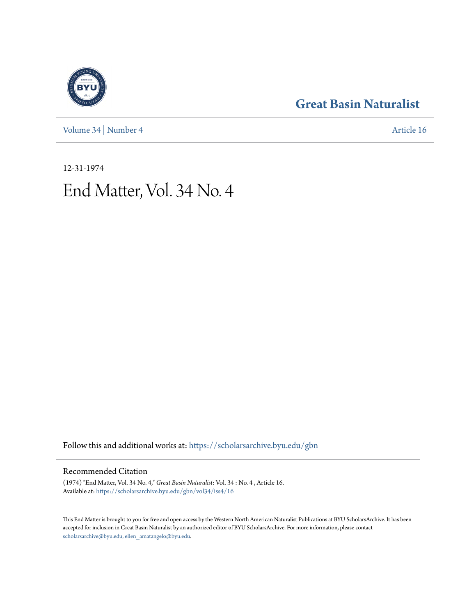[Volume 34](https://scholarsarchive.byu.edu/gbn/vol34?utm_source=scholarsarchive.byu.edu%2Fgbn%2Fvol34%2Fiss4%2F16&utm_medium=PDF&utm_campaign=PDFCoverPages) | [Number 4](https://scholarsarchive.byu.edu/gbn/vol34/iss4?utm_source=scholarsarchive.byu.edu%2Fgbn%2Fvol34%2Fiss4%2F16&utm_medium=PDF&utm_campaign=PDFCoverPages) [Article 16](https://scholarsarchive.byu.edu/gbn/vol34/iss4/16?utm_source=scholarsarchive.byu.edu%2Fgbn%2Fvol34%2Fiss4%2F16&utm_medium=PDF&utm_campaign=PDFCoverPages)

# **[Great Basin Naturalist](https://scholarsarchive.byu.edu/gbn?utm_source=scholarsarchive.byu.edu%2Fgbn%2Fvol34%2Fiss4%2F16&utm_medium=PDF&utm_campaign=PDFCoverPages)**

12-31-1974 End Matter, Vol. 34 No. 4

Follow this and additional works at: [https://scholarsarchive.byu.edu/gbn](https://scholarsarchive.byu.edu/gbn?utm_source=scholarsarchive.byu.edu%2Fgbn%2Fvol34%2Fiss4%2F16&utm_medium=PDF&utm_campaign=PDFCoverPages)

# Recommended Citation

(1974) "End Matter, Vol. 34 No. 4," *Great Basin Naturalist*: Vol. 34 : No. 4 , Article 16. Available at: [https://scholarsarchive.byu.edu/gbn/vol34/iss4/16](https://scholarsarchive.byu.edu/gbn/vol34/iss4/16?utm_source=scholarsarchive.byu.edu%2Fgbn%2Fvol34%2Fiss4%2F16&utm_medium=PDF&utm_campaign=PDFCoverPages)

This End Matter is brought to you for free and open access by the Western North American Naturalist Publications at BYU ScholarsArchive. It has been accepted for inclusion in Great Basin Naturalist by an authorized editor of BYU ScholarsArchive. For more information, please contact [scholarsarchive@byu.edu, ellen\\_amatangelo@byu.edu.](mailto:scholarsarchive@byu.edu,%20ellen_amatangelo@byu.edu)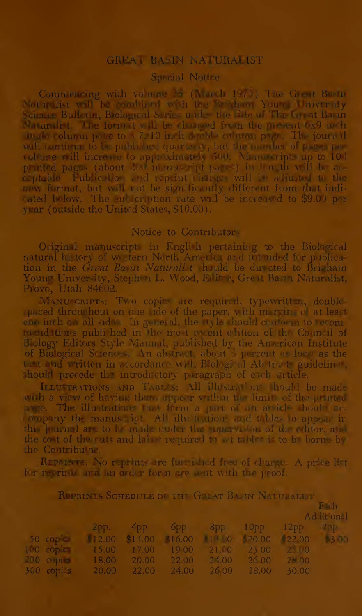# GRUAT BAIN NATURALIST

## Surcial Notire

Commencing with volume  $\Rightarrow$  (Anarch 1970) The G  $-$ t Boom (1910) Ist voll I anarchieve vich the Stephen Yang University Science Bull tin, Biological Serie: under the side of The Great Bann Manufacture form t will be changed from the meant (x9 in h ingle column polic to 1.7, 10 in h deathle column polic. The journal will cantitud to be published quarterly, but the number of pages pevolume vill increase to approximately 500. Monocript up to 100 p m(d pag > (about 2 m must pt part =) in l m th v il b ac-<br>c=pt\_lue Tub iculion and rep\_int that are will be at ustaint to the mw fermat, but will not be significantly different from that indirated below. The au cription rate will be increased to \$9.00 per year (outside the United States, \$10.00).

#### Notice to Contributor

Original manuscript in Fngli h pertaining to the Biological natural hi tory of we tern Nerth Am ic ard int nd d f r publication in the Great Ba in Naturali t huild be directed to Bri-ham Young Univer ity, Stephen L. Wood, Elliter, Great Barn Naturalist, Provo, Utah 84602.

MANU CRIPTS: Two copie are required, typewritt in, double partial product throughout on one lide of the paper, with m r in of at least one inches all sides. In general, the tyle hould conform to recommunditions publi hed in the most resent efition of the Counsil of Blology Editors Style Manual, published by the Anarican Institute of Biological Science. An abstract, about 5 percent as long as the that and written in accordance with Biologi al Ab tract guideling, should precede the introductory peragraph of each article.

ILLU TRATIONS AND TABLES: All illustrations thould be made with a view of having them upper vather to limit of the printed page. The illustrations that form a purt of an arbide houls accompany the manus int All allustration and tables to appear in this journal as to be made under the morriton of the chior, and the cost of the ruts and labor required to set tables is to be borned. the Contributor.

R P I I No r p ints refu n hed fi of char p A prie lit for retring and an order for n are out with the proof.

| ROBINIS SCHEDULE OF THE GREAT BAIN NATURALLY |                                                     |  |  |  |  |                                               |  |
|----------------------------------------------|-----------------------------------------------------|--|--|--|--|-----------------------------------------------|--|
| B <sub>m</sub> h                             |                                                     |  |  |  |  |                                               |  |
|                                              |                                                     |  |  |  |  | Ad litional                                   |  |
|                                              |                                                     |  |  |  |  | $2pp.$ $4pp$ $6pp.$ $8pp$ $10pp$ $12pp$ $2pp$ |  |
|                                              | 50 cop c 12.00 \$14.00 \$16.00 18 0 20 00 22 00 3 0 |  |  |  |  |                                               |  |
|                                              | 10 copin 15.00 17.00 19 00 21.0 23 00 2.00          |  |  |  |  |                                               |  |
|                                              | 200 c pro 18.00 20.00 22.00 24.00 26.00 21.00       |  |  |  |  |                                               |  |
|                                              | 300 copi s 20.00 22.00 24.00 26.00 28.00 30.00      |  |  |  |  |                                               |  |